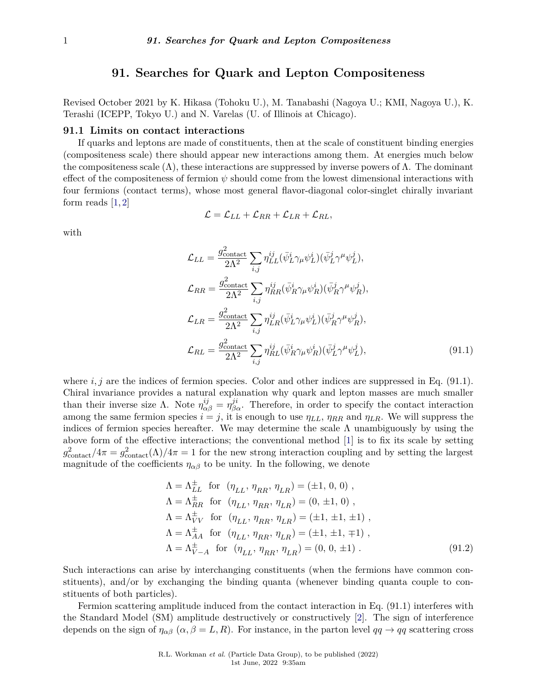## **91. Searches for Quark and Lepton Compositeness**

Revised October 2021 by K. Hikasa (Tohoku U.), M. Tanabashi (Nagoya U.; KMI, Nagoya U.), K. Terashi (ICEPP, Tokyo U.) and N. Varelas (U. of Illinois at Chicago).

## **91.1 Limits on contact interactions**

If quarks and leptons are made of constituents, then at the scale of constituent binding energies (compositeness scale) there should appear new interactions among them. At energies much below the compositeness scale ( $\Lambda$ ), these interactions are suppressed by inverse powers of  $\Lambda$ . The dominant effect of the compositeness of fermion *ψ* should come from the lowest dimensional interactions with four fermions (contact terms), whose most general flavor-diagonal color-singlet chirally invariant form reads  $[1, 2]$  $[1, 2]$  $[1, 2]$ 

$$
\mathcal{L} = \mathcal{L}_{LL} + \mathcal{L}_{RR} + \mathcal{L}_{LR} + \mathcal{L}_{RL},
$$

with

$$
\mathcal{L}_{LL} = \frac{g_{\text{contact}}^2}{2\Lambda^2} \sum_{i,j} \eta_{LL}^{ij} (\bar{\psi}_L^i \gamma_\mu \psi_L^i) (\bar{\psi}_L^j \gamma^\mu \psi_L^j),
$$
\n
$$
\mathcal{L}_{RR} = \frac{g_{\text{contact}}^2}{2\Lambda^2} \sum_{i,j} \eta_{RR}^{ij} (\bar{\psi}_R^i \gamma_\mu \psi_R^i) (\bar{\psi}_R^j \gamma^\mu \psi_R^j),
$$
\n
$$
\mathcal{L}_{LR} = \frac{g_{\text{contact}}^2}{2\Lambda^2} \sum_{i,j} \eta_{LR}^{ij} (\bar{\psi}_L^i \gamma_\mu \psi_L^i) (\bar{\psi}_R^j \gamma^\mu \psi_R^j),
$$
\n
$$
\mathcal{L}_{RL} = \frac{g_{\text{contact}}^2}{2\Lambda^2} \sum_{i,j} \eta_{RL}^{ij} (\bar{\psi}_R^i \gamma_\mu \psi_R^i) (\bar{\psi}_L^j \gamma^\mu \psi_L^j),
$$
\n(91.1)

where  $i, j$  are the indices of fermion species. Color and other indices are suppressed in Eq.  $(91.1)$ . Chiral invariance provides a natural explanation why quark and lepton masses are much smaller than their inverse size  $\Lambda$ . Note  $\eta_{\alpha\beta}^{ij} = \eta_{\beta\alpha}^{ji}$ . Therefore, in order to specify the contact interaction among the same fermion species  $i = j$ , it is enough to use  $\eta_{LL}$ ,  $\eta_{RR}$  and  $\eta_{LR}$ . We will suppress the indices of fermion species hereafter. We may determine the scale  $\Lambda$  unambiguously by using the above form of the effective interactions; the conventional method [\[1\]](#page-9-0) is to fix its scale by setting  $g_{\text{contact}}^2/4\pi = g_{\text{contact}}^2(\Lambda)/4\pi = 1$  for the new strong interaction coupling and by setting the largest magnitude of the coefficients  $\eta_{\alpha\beta}$  to be unity. In the following, we denote

$$
\Lambda = \Lambda_{LL}^{\pm} \text{ for } (\eta_{LL}, \eta_{RR}, \eta_{LR}) = (\pm 1, 0, 0) ,\n\Lambda = \Lambda_{RR}^{\pm} \text{ for } (\eta_{LL}, \eta_{RR}, \eta_{LR}) = (0, \pm 1, 0) ,\n\Lambda = \Lambda_{VV}^{\pm} \text{ for } (\eta_{LL}, \eta_{RR}, \eta_{LR}) = (\pm 1, \pm 1, \pm 1) ,\n\Lambda = \Lambda_{AA}^{\pm} \text{ for } (\eta_{LL}, \eta_{RR}, \eta_{LR}) = (\pm 1, \pm 1, \mp 1) ,\n\Lambda = \Lambda_{V-A}^{\pm} \text{ for } (\eta_{LL}, \eta_{RR}, \eta_{LR}) = (0, 0, \pm 1) .
$$
\n(91.2)

Such interactions can arise by interchanging constituents (when the fermions have common constituents), and/or by exchanging the binding quanta (whenever binding quanta couple to constituents of both particles).

Fermion scattering amplitude induced from the contact interaction in Eq. (91.1) interferes with the Standard Model (SM) amplitude destructively or constructively [\[2\]](#page-9-1). The sign of interference depends on the sign of  $\eta_{\alpha\beta}$  ( $\alpha, \beta = L, R$ ). For instance, in the parton level  $qq \to qq$  scattering cross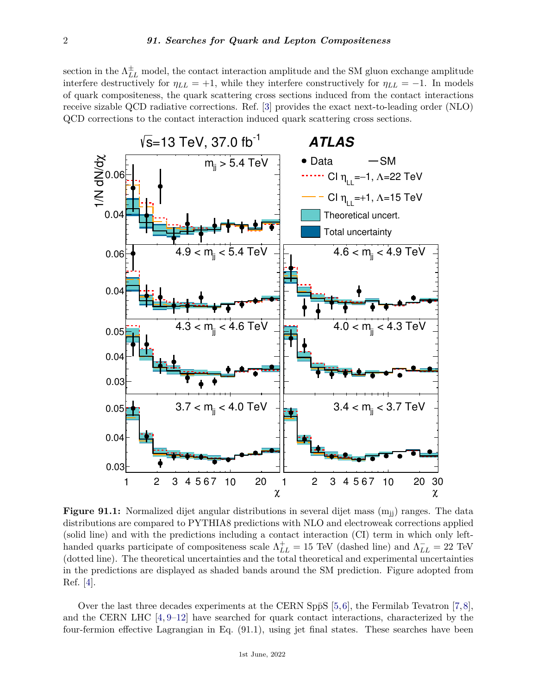section in the  $\Lambda_{LL}^{\pm}$  model, the contact interaction amplitude and the SM gluon exchange amplitude interfere destructively for  $\eta_{LL} = +1$ , while they interfere constructively for  $\eta_{LL} = -1$ . In models of quark compositeness, the quark scattering cross sections induced from the contact interactions receive sizable QCD radiative corrections. Ref. [\[3\]](#page-9-2) provides the exact next-to-leading order (NLO) QCD corrections to the contact interaction induced quark scattering cross sections.



**Figure 91.1:** Normalized dijet angular distributions in several dijet mass  $(m_{ii})$  ranges. The data distributions are compared to PYTHIA8 predictions with NLO and electroweak corrections applied (solid line) and with the predictions including a contact interaction (CI) term in which only lefthanded quarks participate of compositeness scale  $\Lambda_{LL}^+ = 15$  TeV (dashed line) and  $\Lambda_{LL}^- = 22$  TeV (dotted line). The theoretical uncertainties and the total theoretical and experimental uncertainties in the predictions are displayed as shaded bands around the SM prediction. Figure adopted from Ref. [\[4\]](#page-9-3).

Over the last three decades experiments at the CERN Sp $\bar{p}S$  [\[5,](#page-9-4)[6\]](#page-9-5), the Fermilab Tevatron [\[7,](#page-9-6)[8\]](#page-9-7), and the CERN LHC [\[4,](#page-9-3) [9–](#page-9-8)[12\]](#page-9-9) have searched for quark contact interactions, characterized by the four-fermion effective Lagrangian in Eq. (91.1), using jet final states. These searches have been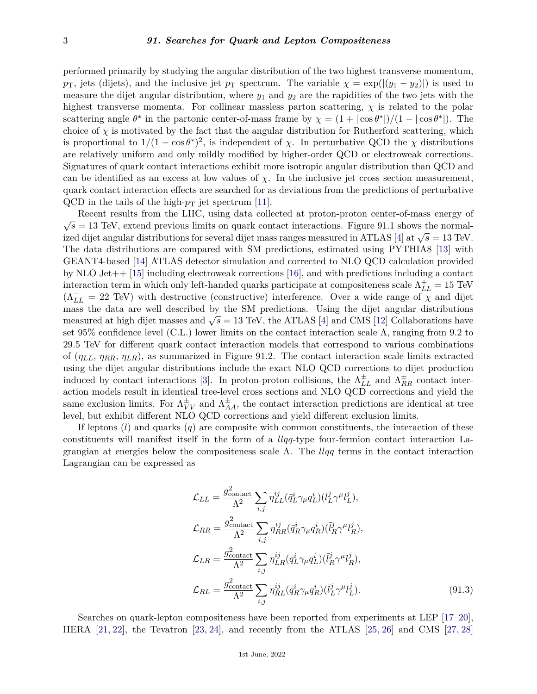performed primarily by studying the angular distribution of the two highest transverse momentum, *p*<sub>T</sub>, jets (dijets), and the inclusive jet *p*<sub>T</sub> spectrum. The variable  $\chi = \exp(|(y_1 - y_2)|)$  is used to measure the dijet angular distribution, where *y*<sup>1</sup> and *y*<sup>2</sup> are the rapidities of the two jets with the highest transverse momenta. For collinear massless parton scattering,  $\chi$  is related to the polar scattering angle  $\theta^*$  in the partonic center-of-mass frame by  $\chi = (1 + |\cos \theta^*|)/(1 - |\cos \theta^*|)$ . The choice of  $\chi$  is motivated by the fact that the angular distribution for Rutherford scattering, which is proportional to  $1/(1 - \cos \theta^*)^2$ , is independent of *χ*. In perturbative QCD the *χ* distributions are relatively uniform and only mildly modified by higher-order QCD or electroweak corrections. Signatures of quark contact interactions exhibit more isotropic angular distribution than QCD and can be identified as an excess at low values of  $\chi$ . In the inclusive jet cross section measurement, quark contact interaction effects are searched for as deviations from the predictions of perturbative QCD in the tails of the high- $p_T$  jet spectrum [\[11\]](#page-9-10).

Recent results from the LHC, using data collected at proton-proton center-of-mass energy of  $\sqrt{s} = 13$  TeV, extend previous limits on quark contact interactions. Figure 91.1 shows the normalized dijet angular distributions for several dijet mass ranges measured in ATLAS [\[4\]](#page-9-3) at <sup>√</sup> *s* = 13 TeV. The data distributions are compared with SM predictions, estimated using PYTHIA8 [\[13\]](#page-9-11) with GEANT4-based [\[14\]](#page-9-12) ATLAS detector simulation and corrected to NLO QCD calculation provided by NLO Jet++ [\[15\]](#page-9-13) including electroweak corrections [\[16\]](#page-9-14), and with predictions including a contact interaction term in which only left-handed quarks participate at compositeness scale  $\Lambda_{LL}^{+} = 15$  TeV  $(\Lambda_{LL}^{-} = 22 \text{ TeV})$  with destructive (constructive) interference. Over a wide range of  $\chi$  and dijet mass the data are well described by the SM predictions. Using the dijet angular distributions mass the data are wen described by the SM predictions. Using the dijet angular distributions measured at high dijet masses and  $\sqrt{s} = 13$  TeV, the ATLAS [\[4\]](#page-9-3) and CMS [\[12\]](#page-9-9) Collaborations have set 95% confidence level (C.L.) lower limits on the contact interaction scale Λ, ranging from 9*.*2 to 29*.*5 TeV for different quark contact interaction models that correspond to various combinations of (*ηLL, ηRR, ηLR*), as summarized in Figure 91.2. The contact interaction scale limits extracted using the dijet angular distributions include the exact NLO QCD corrections to dijet production induced by contact interactions [\[3\]](#page-9-2). In proton-proton collisions, the  $\Lambda_{LL}^{\pm}$  and  $\Lambda_{RR}^{\pm}$  contact interaction models result in identical tree-level cross sections and NLO QCD corrections and yield the same exclusion limits. For  $\Lambda_{VV}^{\pm}$  and  $\Lambda_{AA}^{\pm}$ , the contact interaction predictions are identical at tree level, but exhibit different NLO QCD corrections and yield different exclusion limits.

If leptons (*l*) and quarks (*q*) are composite with common constituents, the interaction of these constituents will manifest itself in the form of a *llqq*-type four-fermion contact interaction Lagrangian at energies below the compositeness scale  $\Lambda$ . The *llqq* terms in the contact interaction Lagrangian can be expressed as

$$
\mathcal{L}_{LL} = \frac{g_{\text{contact}}^2}{\Lambda^2} \sum_{i,j} \eta_{LL}^{ij} (\bar{q}_L^i \gamma_\mu q_L^i) (\bar{l}_L^j \gamma^\mu l_L^j),
$$
\n
$$
\mathcal{L}_{RR} = \frac{g_{\text{contact}}^2}{\Lambda^2} \sum_{i,j} \eta_{RR}^{ij} (\bar{q}_R^i \gamma_\mu q_R^i) (\bar{l}_R^j \gamma^\mu l_R^j),
$$
\n
$$
\mathcal{L}_{LR} = \frac{g_{\text{contact}}^2}{\Lambda^2} \sum_{i,j} \eta_{LR}^{ij} (\bar{q}_L^i \gamma_\mu q_L^i) (\bar{l}_R^j \gamma^\mu l_R^j),
$$
\n
$$
\mathcal{L}_{RL} = \frac{g_{\text{contact}}^2}{\Lambda^2} \sum_{i,j} \eta_{RL}^{ij} (\bar{q}_R^i \gamma_\mu q_R^i) (\bar{l}_L^j \gamma^\mu l_L^j).
$$
\n(91.3)

Searches on quark-lepton compositeness have been reported from experiments at LEP [\[17–](#page-9-15)[20\]](#page-10-0), HERA [\[21,](#page-10-1) [22\]](#page-10-2), the Tevatron [\[23,](#page-10-3) [24\]](#page-10-4), and recently from the ATLAS [\[25,](#page-10-5) [26\]](#page-10-6) and CMS [\[27,](#page-10-7) [28\]](#page-10-8)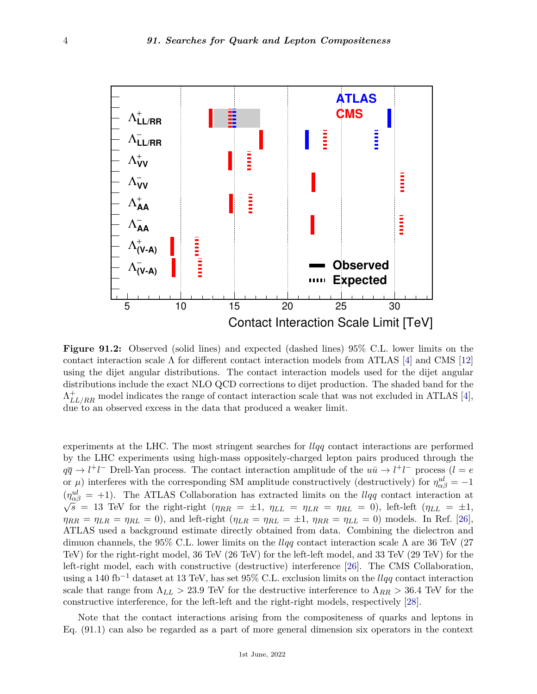

**Figure 91.2:** Observed (solid lines) and expected (dashed lines) 95% C.L. lower limits on the contact interaction scale  $\Lambda$  for different contact interaction models from ATLAS [\[4\]](#page-9-3) and CMS [\[12\]](#page-9-9) using the dijet angular distributions. The contact interaction models used for the dijet angular distributions include the exact NLO QCD corrections to dijet production. The shaded band for the  $\Lambda_{LL/RR}^{+}$  model indicates the range of contact interaction scale that was not excluded in ATLAS [\[4\]](#page-9-3), due to an observed excess in the data that produced a weaker limit.

experiments at the LHC. The most stringent searches for *llqq* contact interactions are performed by the LHC experiments using high-mass oppositely-charged lepton pairs produced through the  $q\bar{q} \to l^+l^-$  Drell-Yan process. The contact interaction amplitude of the  $u\bar{u} \to l^+l^-$  process (*l* = *e* or  $\mu$ ) interferes with the corresponding SM amplitude constructively (destructively) for  $\eta_{\alpha\beta}^{ul} = -1$  $(\eta_{\alpha\beta}^{ul} = +1)$ . The ATLAS Collaboration has extracted limits on the *llqq* contact interaction at  $\sqrt{s} = 13$  TeV for the right-right  $(\eta_{RR} = \pm 1, \eta_{LL} = \eta_{LR} = \eta_{RL} = 0)$ , left-left  $(\eta_{LL} = \pm 1, \eta_{LL} = \pm 1, \eta_{LL} = \eta_{LR} = \eta_{RL$  $\eta_{RR} = \eta_{LR} = \eta_{RL} = 0$ , and left-right ( $\eta_{LR} = \eta_{RL} = \pm 1$ ,  $\eta_{RR} = \eta_{LL} = 0$ ) models. In Ref. [\[26\]](#page-10-6), ATLAS used a background estimate directly obtained from data. Combining the dielectron and dimuon channels, the 95% C.L. lower limits on the *llqq* contact interaction scale Λ are 36 TeV (27 TeV) for the right-right model, 36 TeV (26 TeV) for the left-left model, and 33 TeV (29 TeV) for the left-right model, each with constructive (destructive) interference [\[26\]](#page-10-6). The CMS Collaboration, using a 140 fb−<sup>1</sup> dataset at 13 TeV, has set 95% C.L. exclusion limits on the *llqq* contact interaction scale that range from  $\Lambda_{LL} > 23.9$  TeV for the destructive interference to  $\Lambda_{RR} > 36.4$  TeV for the constructive interference, for the left-left and the right-right models, respectively [\[28\]](#page-10-8).

Note that the contact interactions arising from the compositeness of quarks and leptons in Eq. (91.1) can also be regarded as a part of more general dimension six operators in the context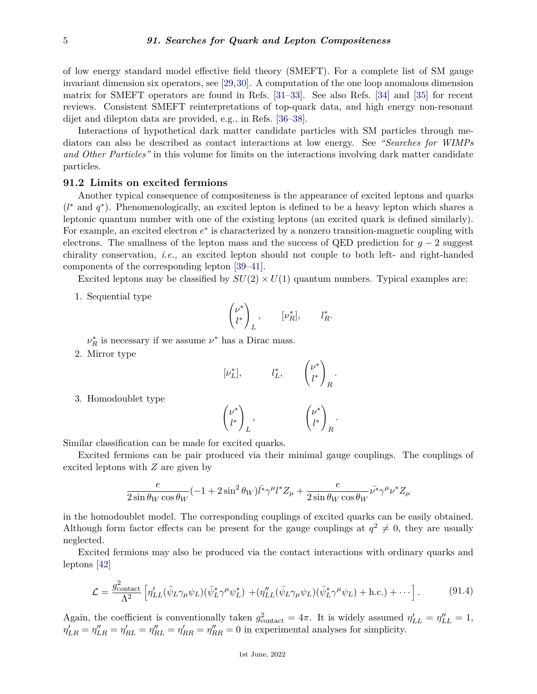of low energy standard model effective field theory (SMEFT). For a complete list of SM gauge invariant dimension six operators, see [\[29,](#page-10-9)[30\]](#page-10-10). A computation of the one loop anomalous dimension matrix for SMEFT operators are found in Refs. [\[31–](#page-10-11)[33\]](#page-10-12). See also Refs. [\[34\]](#page-10-13) and [\[35\]](#page-10-14) for recent reviews. Consistent SMEFT reinterpretations of top-quark data, and high energy non-resonant dijet and dilepton data are provided, e.g., in Refs. [\[36–](#page-10-15)[38\]](#page-10-16).

Interactions of hypothetical dark matter candidate particles with SM particles through mediators can also be described as contact interactions at low energy. See *"Searches for WIMPs and Other Particles"* in this volume for limits on the interactions involving dark matter candidate particles.

## **91.2 Limits on excited fermions**

Another typical consequence of compositeness is the appearance of excited leptons and quarks (*l* <sup>∗</sup> and *q* ∗ ). Phenomenologically, an excited lepton is defined to be a heavy lepton which shares a leptonic quantum number with one of the existing leptons (an excited quark is defined similarly). For example, an excited electron  $e^*$  is characterized by a nonzero transition-magnetic coupling with electrons. The smallness of the lepton mass and the success of QED prediction for  $q - 2$  suggest chirality conservation, *i.e.,* an excited lepton should not couple to both left- and right-handed components of the corresponding lepton [\[39–](#page-10-17)[41\]](#page-10-18).

Excited leptons may be classified by  $SU(2) \times U(1)$  quantum numbers. Typical examples are:

1. Sequential type

$$
\begin{pmatrix} \nu^* \\ l^* \end{pmatrix}_L, \qquad [\nu_R^*], \qquad l_R^*.
$$

 $\nu_R^*$  is necessary if we assume  $\nu^*$  has a Dirac mass.

2. Mirror type

$$
[\nu_L^*], \qquad l_L^*, \qquad {\nu^* \choose l^*}_R
$$

*.*

3. Homodoublet type

$$
\begin{pmatrix} \nu^* \\ l^* \end{pmatrix}_L, \qquad \qquad \begin{pmatrix} \nu^* \\ l^* \end{pmatrix}_R.
$$

Similar classification can be made for excited quarks.

Excited fermions can be pair produced via their minimal gauge couplings. The couplings of excited leptons with *Z* are given by

$$
\frac{e}{2\sin\theta_W\cos\theta_W}(-1+2\sin^2\theta_W)\bar{l^*}\gamma^\mu l^*Z_\mu+\frac{e}{2\sin\theta_W\cos\theta_W}\bar{\nu^*}\gamma^\mu\nu^*Z_\mu
$$

in the homodoublet model. The corresponding couplings of excited quarks can be easily obtained. Although form factor effects can be present for the gauge couplings at  $q^2 \neq 0$ , they are usually neglected.

Excited fermions may also be produced via the contact interactions with ordinary quarks and leptons [\[42\]](#page-10-19)

$$
\mathcal{L} = \frac{g_{\text{contact}}^2}{\Lambda^2} \left[ \eta'_{LL} (\bar{\psi}_L \gamma_\mu \psi_L) (\bar{\psi}_L^* \gamma^\mu \psi_L^*) + (\eta''_{LL} (\bar{\psi}_L \gamma_\mu \psi_L) (\bar{\psi}_L^* \gamma^\mu \psi_L) + \text{h.c.}) + \cdots \right]. \tag{91.4}
$$

Again, the coefficient is conventionally taken  $g_{\text{contact}}^2 = 4\pi$ . It is widely assumed  $\eta'_{LL} = \eta''_{LL} = 1$ ,  $\eta'_{LR} = \eta''_{RL} = \eta''_{RL} = \eta''_{RL} = \eta''_{RR} = \eta''_{RR} = 0$  in experimental analyses for simplicity.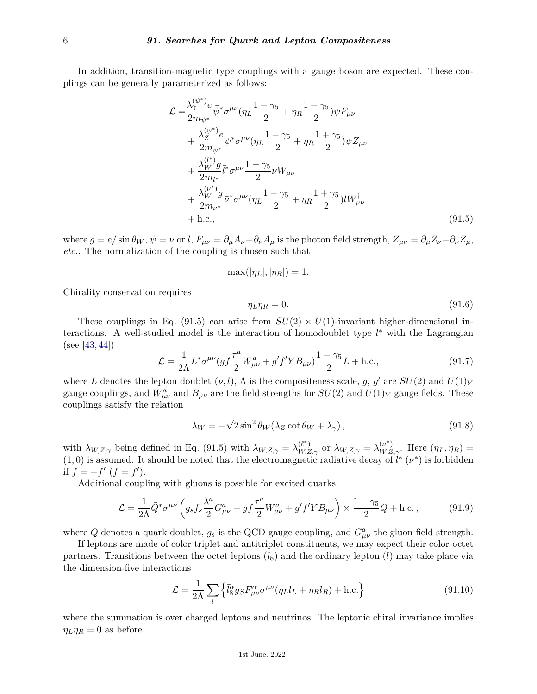In addition, transition-magnetic type couplings with a gauge boson are expected. These couplings can be generally parameterized as follows:

$$
\mathcal{L} = \frac{\lambda_{\gamma}^{(\psi^{*})} e}{2m_{\psi^{*}}} \bar{\psi}^{*} \sigma^{\mu\nu} (\eta_{L} \frac{1-\gamma_{5}}{2} + \eta_{R} \frac{1+\gamma_{5}}{2}) \psi F_{\mu\nu} \n+ \frac{\lambda_{Z}^{(\psi^{*})} e}{2m_{\psi^{*}}} \bar{\psi}^{*} \sigma^{\mu\nu} (\eta_{L} \frac{1-\gamma_{5}}{2} + \eta_{R} \frac{1+\gamma_{5}}{2}) \psi Z_{\mu\nu} \n+ \frac{\lambda_{W}^{(l^{*})} g}{2m_{l^{*}}} \bar{l}^{*} \sigma^{\mu\nu} \frac{1-\gamma_{5}}{2} \nu W_{\mu\nu} \n+ \frac{\lambda_{W}^{(\nu^{*})} g}{2m_{\nu^{*}}} \bar{\nu}^{*} \sigma^{\mu\nu} (\eta_{L} \frac{1-\gamma_{5}}{2} + \eta_{R} \frac{1+\gamma_{5}}{2}) l W_{\mu\nu}^{\dagger} \n+ \text{h.c.,}
$$
\n(91.5)

where  $g = e/\sin \theta_W$ ,  $\psi = \nu$  or l,  $F_{\mu\nu} = \partial_\mu A_\nu - \partial_\nu A_\mu$  is the photon field strength,  $Z_{\mu\nu} = \partial_\mu Z_\nu - \partial_\nu Z_\mu$ , *etc.*. The normalization of the coupling is chosen such that

$$
\max(|\eta_L|, |\eta_R|) = 1.
$$

Chirality conservation requires

$$
\eta_L \eta_R = 0. \tag{91.6}
$$

These couplings in Eq. (91.5) can arise from  $SU(2) \times U(1)$ -invariant higher-dimensional interactions. A well-studied model is the interaction of homodoublet type *l* <sup>∗</sup> with the Lagrangian (see [\[43,](#page-10-20) [44\]](#page-10-21))

$$
\mathcal{L} = \frac{1}{2\Lambda} \bar{L}^* \sigma^{\mu\nu} (gf \frac{\tau^a}{2} W^a_{\mu\nu} + g' f' Y B_{\mu\nu}) \frac{1 - \gamma_5}{2} L + \text{h.c.},\tag{91.7}
$$

where *L* denotes the lepton doublet  $(\nu, l)$ ,  $\Lambda$  is the compositeness scale, *g*, *g*' are  $SU(2)$  and  $U(1)_Y$ gauge couplings, and  $W_{\mu\nu}^a$  and  $B_{\mu\nu}$  are the field strengths for  $SU(2)$  and  $U(1)_Y$  gauge fields. These couplings satisfy the relation

$$
\lambda_W = -\sqrt{2}\sin^2\theta_W(\lambda_Z\cot\theta_W + \lambda_\gamma),\tag{91.8}
$$

with  $\lambda_{W,Z,\gamma}$  being defined in Eq. (91.5) with  $\lambda_{W,Z,\gamma} = \lambda_{W,Z,\gamma}^{(\ell^*)}$  or  $\lambda_{W,Z,\gamma} = \lambda_{W,Z,\gamma}^{(\nu^*)}$ . Here  $(\eta_L, \eta_R) =$  $(1,0)$  is assumed. It should be noted that the electromagnetic radiative decay of  $l^*$  ( $\nu^*$ ) is forbidden if  $f = -f'(f = f').$ 

Additional coupling with gluons is possible for excited quarks:

$$
\mathcal{L} = \frac{1}{2\Lambda} \bar{Q}^* \sigma^{\mu\nu} \left( g_s f_s \frac{\lambda^a}{2} G^a_{\mu\nu} + g f \frac{\tau^a}{2} W^a_{\mu\nu} + g' f' Y B_{\mu\nu} \right) \times \frac{1 - \gamma_5}{2} Q + \text{h.c.} \,, \tag{91.9}
$$

where *Q* denotes a quark doublet,  $g_s$  is the QCD gauge coupling, and  $G^a_{\mu\nu}$  the gluon field strength.

If leptons are made of color triplet and antitriplet constituents, we may expect their color-octet partners. Transitions between the octet leptons  $(l_8)$  and the ordinary lepton  $(l)$  may take place via the dimension-five interactions

$$
\mathcal{L} = \frac{1}{2\Lambda} \sum_{l} \left\{ \bar{l}_{8}^{\alpha} g_{S} F^{\alpha}_{\mu\nu} \sigma^{\mu\nu} (\eta_{L} l_{L} + \eta_{R} l_{R}) + \text{h.c.} \right\}
$$
(91.10)

where the summation is over charged leptons and neutrinos. The leptonic chiral invariance implies  $\eta_L \eta_R = 0$  as before.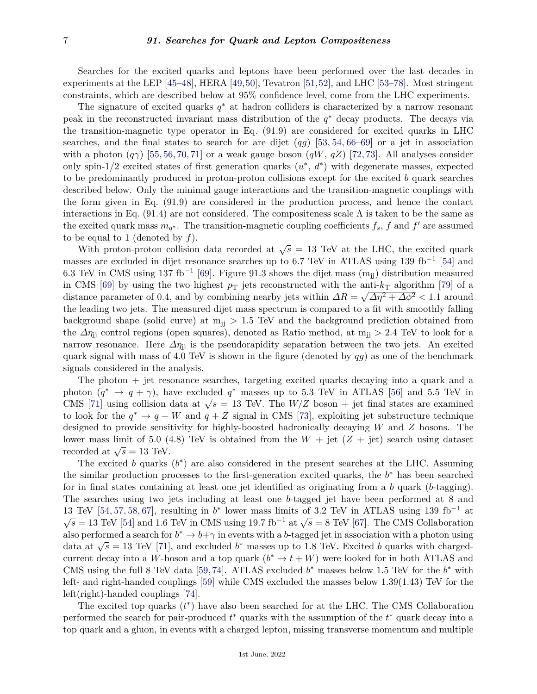Searches for the excited quarks and leptons have been performed over the last decades in experiments at the LEP [\[45–](#page-10-22)[48\]](#page-11-0), HERA [\[49,](#page-11-1)[50\]](#page-11-2), Tevatron [\[51,](#page-11-3)[52\]](#page-11-4), and LHC [\[53–](#page-11-5)[78\]](#page-12-0). Most stringent constraints, which are described below at 95% confidence level, come from the LHC experiments.

The signature of excited quarks *q* <sup>∗</sup> at hadron colliders is characterized by a narrow resonant peak in the reconstructed invariant mass distribution of the *q* <sup>∗</sup> decay products. The decays via the transition-magnetic type operator in Eq. (91.9) are considered for excited quarks in LHC searches, and the final states to search for are dijet (*qg*) [\[53,](#page-11-5) [54,](#page-11-6) [66](#page-11-7)[–69\]](#page-11-8) or a jet in association with a photon  $(q\gamma)$  [\[55,](#page-11-9) [56,](#page-11-10) [70,](#page-11-11) [71\]](#page-12-1) or a weak gauge boson  $(qW, qZ)$  [\[72,](#page-12-2) [73\]](#page-12-3). All analyses consider only spin-1/2 excited states of first generation quarks  $(u^*, d^*)$  with degenerate masses, expected to be predominantly produced in proton-proton collisions except for the excited *b* quark searches described below. Only the minimal gauge interactions and the transition-magnetic couplings with the form given in Eq. (91.9) are considered in the production process, and hence the contact interactions in Eq. (91.4) are not considered. The compositeness scale  $\Lambda$  is taken to be the same as the excited quark mass  $m_{q^*}$ . The transition-magnetic coupling coefficients  $f_s$ ,  $f$  and  $f'$  are assumed to be equal to 1 (denoted by  $f$ ).

where  $\frac{d}{dx}$  is the unit of the line of the corded at  $\sqrt{s} = 13$  TeV at the LHC, the excited quark masses are excluded in dijet resonance searches up to 6.7 TeV in ATLAS using 139 fb<sup>-1</sup> [\[54\]](#page-11-6) and 6.3 TeV in CMS using 137 fb<sup>-1</sup> [\[69\]](#page-11-8). Figure 91.3 shows the dijet mass  $(m_{jj})$  distribution measured in CMS [\[69\]](#page-11-8) by using the two highest  $p_T$  jets reconstructed with the anti- $k_T$  algorithm [\[79\]](#page-12-4) of a distance parameter of 0.4, and by combining nearby jets within  $\Delta R = \sqrt{\Delta \eta^2 + \Delta \phi^2} < 1.1$  around the leading two jets. The measured dijet mass spectrum is compared to a fit with smoothly falling background shape (solid curve) at  $m_{ij} > 1.5$  TeV and the background prediction obtained from the  $\Delta \eta_{jj}$  control regions (open squares), denoted as Ratio method, at m<sub>ij</sub> > 2.4 TeV to look for a narrow resonance. Here  $\Delta \eta_{ij}$  is the pseudorapidity separation between the two jets. An excited quark signal with mass of 4.0 TeV is shown in the figure (denoted by *qg*) as one of the benchmark signals considered in the analysis.

The photon + jet resonance searches, targeting excited quarks decaying into a quark and a photon  $(q^* \to q + \gamma)$ , have excluded  $q^*$  masses up to 5.3 TeV in ATLAS [\[56\]](#page-11-10) and 5.5 TeV in compositive  $(q \rightarrow q + \gamma)$ , have excluded q masses up to 5.5 TeV in ATLAS [50] and 5.5 TeV in CMS [\[71\]](#page-12-1) using collision data at  $\sqrt{s} = 13$  TeV. The  $W/Z$  boson + jet final states are examined to look for the  $q^* \to q + W$  and  $q + Z$  signal in CMS [\[73\]](#page-12-3), exploiting jet substructure technique designed to provide sensitivity for highly-boosted hadronically decaying *W* and *Z* bosons. The lower mass limit of 5.0 (4.8) TeV is obtained from the  $W +$  jet  $(Z +$  jet) search using dataset recorded at  $\sqrt{s} = 13$  TeV.

The excited  $b$  quarks  $(b^*)$  are also considered in the present searches at the LHC. Assuming the similar production processes to the first-generation excited quarks, the *b* <sup>∗</sup> has been searched for in final states containing at least one jet identified as originating from a *b* quark (*b*-tagging). The searches using two jets including at least one *b*-tagged jet have been performed at 8 and 13 TeV [\[54,](#page-11-6) [57,](#page-11-12) [58,](#page-11-13) [67\]](#page-11-14), resulting in  $b^*$  lower mass limits of 3.2 TeV in ATLAS using 139 fb<sup>-1</sup> at **S** TeV [54, 57, 58, 67], resulting in 0 lower mass mints of 5.2 TeV in ATLAS using 159 fb at  $\sqrt{s} = 13$  TeV [\[54\]](#page-11-6) and 1.6 TeV in CMS using 19.7 fb<sup>-1</sup> at  $\sqrt{s} = 8$  TeV [\[67\]](#page-11-14). The CMS Collaboration also performed a search for  $b^* \to b + \gamma$  in events with a *b*-tagged jet in association with a photon using also performed a search for  $\sigma \to \sigma + \gamma$  in events with a  $\sigma$ -tagged jet in association with a photon using data at  $\sqrt{s} = 13$  TeV [\[71\]](#page-12-1), and excluded  $b^*$  masses up to 1.8 TeV. Excited *b* quarks with chargedcurrent decay into a *W*-boson and a top quark  $(b^* \to t + W)$  were looked for in both ATLAS and CMS using the full 8 TeV data [\[59,](#page-11-15) [74\]](#page-12-5). ATLAS excluded  $b^*$  masses below 1.5 TeV for the  $b^*$  with left- and right-handed couplings [\[59\]](#page-11-15) while CMS excluded the masses below 1.39(1.43) TeV for the left(right)-handed couplings [\[74\]](#page-12-5).

The excited top quarks  $(t^*)$  have also been searched for at the LHC. The CMS Collaboration performed the search for pair-produced  $t^*$  quarks with the assumption of the  $t^*$  quark decay into a top quark and a gluon, in events with a charged lepton, missing transverse momentum and multiple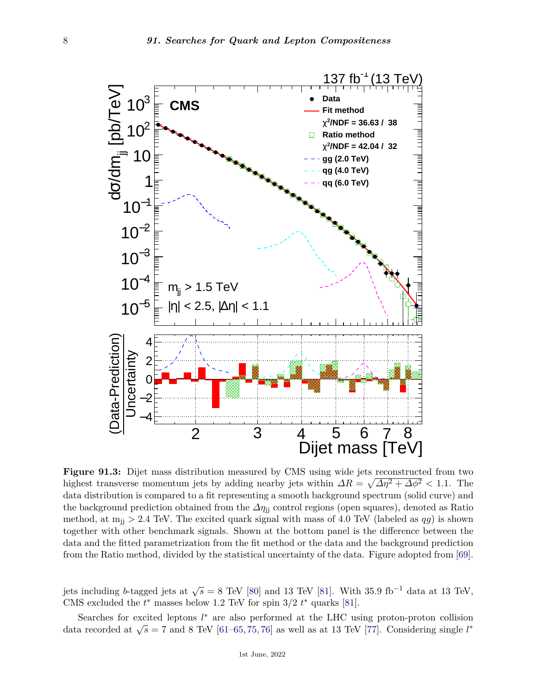

**Figure 91.3:** Dijet mass distribution measured by CMS using wide jets reconstructed from two highest transverse momentum jets by adding nearby jets within  $\Delta R = \sqrt{\Delta \eta^2 + \Delta \phi^2} < 1.1$ . The data distribution is compared to a fit representing a smooth background spectrum (solid curve) and the background prediction obtained from the *∆η*jj control regions (open squares), denoted as Ratio method, at  $m_{ij} > 2.4$  TeV. The excited quark signal with mass of 4.0 TeV (labeled as  $qg$ ) is shown together with other benchmark signals. Shown at the bottom panel is the difference between the data and the fitted parametrization from the fit method or the data and the background prediction from the Ratio method, divided by the statistical uncertainty of the data. Figure adopted from [\[69\]](#page-11-8).

jets including *b*-tagged jets at  $\sqrt{s} = 8$  TeV [\[80\]](#page-12-6) and 13 TeV [\[81\]](#page-12-7). With 35.9 fb<sup>-1</sup> data at 13 TeV, CMS excluded the  $t^*$  masses below 1.2 TeV for spin  $3/2$   $t^*$  quarks [\[81\]](#page-12-7).

Searches for excited leptons  $l^*$  are also performed at the LHC using proton-proton collision data recorded at  $\sqrt{s} = 7$  and 8 TeV [\[61](#page-11-16)[–65,](#page-11-17) [75,](#page-12-8) [76\]](#page-12-9) as well as at 13 TeV [\[77\]](#page-12-10). Considering single *l*<sup>\*</sup>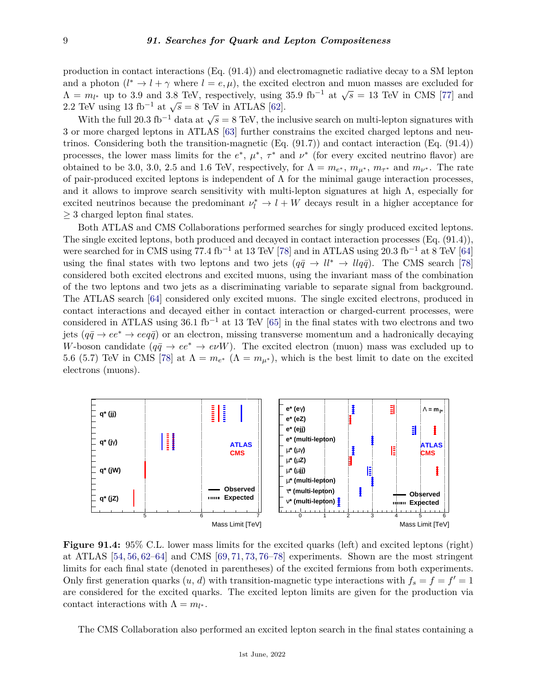production in contact interactions (Eq. (91.4)) and electromagnetic radiative decay to a SM lepton and a photon  $(l^* \to l + \gamma$  where  $l = e, \mu$ , the excited electron and muon masses are excluded for  $\Lambda = m_l$ <sup>\*</sup> up to 3.9 and 3.8 TeV, respectively, using 35.9 fb<sup>-1</sup> at  $\sqrt{s} = 13$  TeV in CMS [\[77\]](#page-12-10) and  $\Lambda = m_l$ <sup>\*</sup> up to 3.9 and 3.8 TeV, respectively, using 35.9 fb<sup>-1</sup> at  $\sqrt{s} = 13$  TeV in CMS [77] and  $\Lambda = m_l^*$  up to 3.9 and 3.8 Tev, respectively, using  $2.2$  TeV using 13 fb<sup>-1</sup> at  $\sqrt{s} = 8$  TeV in ATLAS [\[62\]](#page-11-18).

With the full 20.3 fb<sup>-1</sup> data at  $\sqrt{s} = 8$  TeV, the inclusive search on multi-lepton signatures with 3 or more charged leptons in ATLAS [\[63\]](#page-11-19) further constrains the excited charged leptons and neutrinos. Considering both the transition-magnetic (Eq. (91.7)) and contact interaction (Eq. (91.4)) processes, the lower mass limits for the  $e^*, \mu^*, \tau^*$  and  $\nu^*$  (for every excited neutrino flavor) are obtained to be 3.0, 3.0, 2.5 and 1.6 TeV, respectively, for  $\Lambda = m_{e^*}$ ,  $m_{\mu^*}$ ,  $m_{\tau^*}$  and  $m_{\nu^*}$ . The rate of pair-produced excited leptons is independent of  $\Lambda$  for the minimal gauge interaction processes, and it allows to improve search sensitivity with multi-lepton signatures at high  $\Lambda$ , especially for excited neutrinos because the predominant  $\nu_l^* \to l + W$  decays result in a higher acceptance for  $\geq$  3 charged lepton final states.

Both ATLAS and CMS Collaborations performed searches for singly produced excited leptons. The single excited leptons, both produced and decayed in contact interaction processes (Eq. (91.4)), were searched for in CMS using 77.4 fb<sup>-1</sup> at 13 TeV [\[78\]](#page-12-0) and in ATLAS using 20.3 fb<sup>-1</sup> at 8 TeV [\[64\]](#page-11-20) using the final states with two leptons and two jets  $(q\bar{q} \rightarrow ll^* \rightarrow llq\bar{q})$ . The CMS search [\[78\]](#page-12-0) considered both excited electrons and excited muons, using the invariant mass of the combination of the two leptons and two jets as a discriminating variable to separate signal from background. The ATLAS search [\[64\]](#page-11-20) considered only excited muons. The single excited electrons, produced in contact interactions and decayed either in contact interaction or charged-current processes, were considered in ATLAS using 36.1 fb−<sup>1</sup> at 13 TeV [\[65\]](#page-11-17) in the final states with two electrons and two jets  $(q\bar{q} \rightarrow ee^* \rightarrow e\bar{q})$  or an electron, missing transverse momentum and a hadronically decaying *W*-boson candidate  $(q\bar{q} \to ee^* \to e\nu W)$ . The excited electron (muon) mass was excluded up to 5.6 (5.7) TeV in CMS [\[78\]](#page-12-0) at  $\Lambda = m_{e^*}$  ( $\Lambda = m_{\mu^*}$ ), which is the best limit to date on the excited electrons (muons).



**Figure 91.4:** 95% C.L. lower mass limits for the excited quarks (left) and excited leptons (right) at ATLAS [\[54,](#page-11-6) [56,](#page-11-10) [62–](#page-11-18)[64\]](#page-11-20) and CMS [\[69,](#page-11-8) [71,](#page-12-1) [73,](#page-12-3) [76–](#page-12-9)[78\]](#page-12-0) experiments. Shown are the most stringent limits for each final state (denoted in parentheses) of the excited fermions from both experiments. Only first generation quarks  $(u, d)$  with transition-magnetic type interactions with  $f_s = f = f' = 1$ are considered for the excited quarks. The excited lepton limits are given for the production via contact interactions with  $\Lambda = m_{l^*}$ .

The CMS Collaboration also performed an excited lepton search in the final states containing a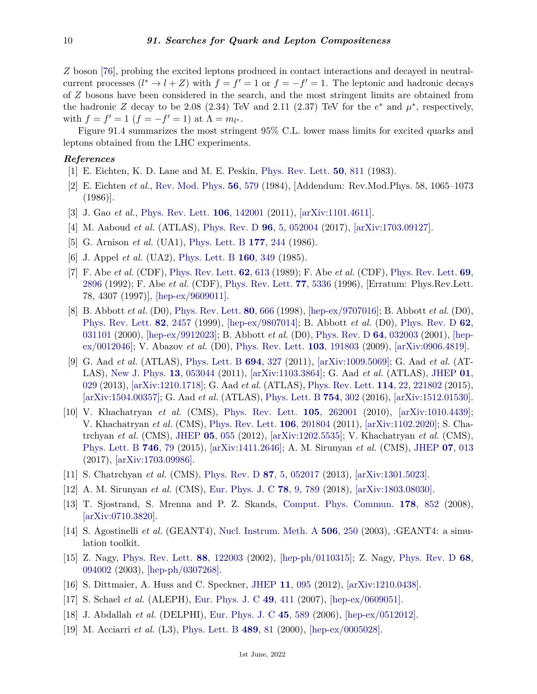*Z* boson [\[76\]](#page-12-9), probing the excited leptons produced in contact interactions and decayed in neutralcurrent processes  $(l^* \to l + Z)$  with  $f = f' = 1$  or  $f = -f' = 1$ . The leptonic and hadronic decays of *Z* bosons have been considered in the search, and the most stringent limits are obtained from the hadronic *Z* decay to be 2.08 (2.34) TeV and 2.11 (2.37) TeV for the  $e^*$  and  $\mu^*$ , respectively, with  $f = f' = 1$   $(f = -f' = 1)$  at  $\Lambda = m_{l^*}.$ 

Figure 91.4 summarizes the most stringent 95% C.L. lower mass limits for excited quarks and leptons obtained from the LHC experiments.

## <span id="page-9-0"></span>*References*

- <span id="page-9-1"></span>[1] E. Eichten, K. D. Lane and M. E. Peskin, [Phys. Rev. Lett.](http://doi.org/10.1103/PhysRevLett.50.811) **50**[, 811](http://doi.org/10.1103/PhysRevLett.50.811) (1983).
- [2] E. Eichten *et al.*, [Rev. Mod. Phys.](http://doi.org/10.1103/RevModPhys.56.579) **56**[, 579](http://doi.org/10.1103/RevModPhys.56.579) (1984), [Addendum: Rev.Mod.Phys. 58, 1065–1073 (1986)].
- <span id="page-9-2"></span>[3] J. Gao *et al.*, [Phys. Rev. Lett.](http://doi.org/10.1103/PhysRevLett.106.142001) **106**[, 142001](http://doi.org/10.1103/PhysRevLett.106.142001) (2011), [\[arXiv:1101.4611\].](https://arxiv.org/abs/1101.4611)
- <span id="page-9-3"></span>[4] M. Aaboud *et al.* (ATLAS), [Phys. Rev. D](http://doi.org/10.1103/PhysRevD.96.052004) **96**[, 5, 052004](http://doi.org/10.1103/PhysRevD.96.052004) (2017), [\[arXiv:1703.09127\].](https://arxiv.org/abs/1703.09127)
- <span id="page-9-4"></span>[5] G. Arnison *et al.* (UA1), [Phys. Lett. B](http://doi.org/10.1016/0370-2693(86)91065-8) **177**[, 244](http://doi.org/10.1016/0370-2693(86)91065-8) (1986).
- <span id="page-9-5"></span>[6] J. Appel *et al.* (UA2), [Phys. Lett. B](http://doi.org/10.1016/0370-2693(85)91341-3) **160**[, 349](http://doi.org/10.1016/0370-2693(85)91341-3) (1985).
- <span id="page-9-6"></span>[7] F. Abe *et al.* (CDF), [Phys. Rev. Lett.](http://doi.org/10.1103/PhysRevLett.62.613) **62**[, 613](http://doi.org/10.1103/PhysRevLett.62.613) (1989); F. Abe *et al.* (CDF), [Phys. Rev. Lett.](http://doi.org/10.1103/PhysRevLett.69.2896) **[69](http://doi.org/10.1103/PhysRevLett.69.2896)**, [2896](http://doi.org/10.1103/PhysRevLett.69.2896) (1992); F. Abe *et al.* (CDF), [Phys. Rev. Lett.](http://doi.org/10.1103/PhysRevLett.77.5336) **77**[, 5336](http://doi.org/10.1103/PhysRevLett.77.5336) (1996), [Erratum: Phys.Rev.Lett. 78, 4307 (1997)], [\[hep-ex/9609011\].](https://arxiv.org/abs/hep-ex/9609011)
- <span id="page-9-7"></span>[8] B. Abbott *et al.* (D0), [Phys. Rev. Lett.](http://doi.org/10.1103/PhysRevLett.80.666) **80**[, 666](http://doi.org/10.1103/PhysRevLett.80.666) (1998), [\[hep-ex/9707016\];](https://arxiv.org/abs/hep-ex/9707016) B. Abbott *et al.* (D0), [Phys. Rev. Lett.](http://doi.org/10.1103/PhysRevLett.82.2457) **82**[, 2457](http://doi.org/10.1103/PhysRevLett.82.2457) (1999), [\[hep-ex/9807014\];](https://arxiv.org/abs/hep-ex/9807014) B. Abbott *et al.* (D0), [Phys. Rev. D](http://doi.org/10.1103/PhysRevD.62.031101) **[62](http://doi.org/10.1103/PhysRevD.62.031101)**, [031101](http://doi.org/10.1103/PhysRevD.62.031101) (2000), [\[hep-ex/9912023\];](https://arxiv.org/abs/hep-ex/9912023) B. Abbott *et al.* (D0), [Phys. Rev. D](http://doi.org/10.1103/PhysRevD.64.032003) **64**[, 032003](http://doi.org/10.1103/PhysRevD.64.032003) (2001), [\[hep](https://arxiv.org/abs/hep-ex/0012046)[ex/0012046\];](https://arxiv.org/abs/hep-ex/0012046) V. Abazov *et al.* (D0), [Phys. Rev. Lett.](http://doi.org/10.1103/PhysRevLett.103.191803) **103**[, 191803](http://doi.org/10.1103/PhysRevLett.103.191803) (2009), [\[arXiv:0906.4819\].](https://arxiv.org/abs/0906.4819)
- <span id="page-9-8"></span>[9] G. Aad *et al.* (ATLAS), [Phys. Lett. B](http://doi.org/10.1016/j.physletb.2010.10.021) **694**[, 327](http://doi.org/10.1016/j.physletb.2010.10.021) (2011), [\[arXiv:1009.5069\];](https://arxiv.org/abs/1009.5069) G. Aad *et al.* (AT-LAS), [New J. Phys.](http://doi.org/10.1088/1367-2630/13/5/053044) **13**[, 053044](http://doi.org/10.1088/1367-2630/13/5/053044) (2011), [\[arXiv:1103.3864\];](https://arxiv.org/abs/1103.3864) G. Aad *et al.* (ATLAS), [JHEP](http://doi.org/10.1007/JHEP01(2013)029) **[01](http://doi.org/10.1007/JHEP01(2013)029)**, [029](http://doi.org/10.1007/JHEP01(2013)029) (2013), [\[arXiv:1210.1718\];](https://arxiv.org/abs/1210.1718) G. Aad *et al.* (ATLAS), [Phys. Rev. Lett.](http://doi.org/10.1103/PhysRevLett.114.221802) **114**[, 22, 221802](http://doi.org/10.1103/PhysRevLett.114.221802) (2015), [\[arXiv:1504.00357\];](https://arxiv.org/abs/1504.00357) G. Aad *et al.* (ATLAS), [Phys. Lett. B](http://doi.org/10.1016/j.physletb.2016.01.032) **754**[, 302](http://doi.org/10.1016/j.physletb.2016.01.032) (2016), [\[arXiv:1512.01530\].](https://arxiv.org/abs/1512.01530)
- [10] V. Khachatryan *et al.* (CMS), [Phys. Rev. Lett.](http://doi.org/10.1103/PhysRevLett.105.262001) **105**[, 262001](http://doi.org/10.1103/PhysRevLett.105.262001) (2010), [\[arXiv:1010.4439\];](https://arxiv.org/abs/1010.4439) V. Khachatryan *et al.* (CMS), [Phys. Rev. Lett.](http://doi.org/10.1103/PhysRevLett.106.201804) **106**[, 201804](http://doi.org/10.1103/PhysRevLett.106.201804) (2011), [\[arXiv:1102.2020\];](https://arxiv.org/abs/1102.2020) S. Chatrchyan *et al.* (CMS), [JHEP](http://doi.org/10.1007/JHEP05(2012)055) **05**[, 055](http://doi.org/10.1007/JHEP05(2012)055) (2012), [\[arXiv:1202.5535\];](https://arxiv.org/abs/1202.5535) V. Khachatryan *et al.* (CMS), [Phys. Lett. B](http://doi.org/10.1016/j.physletb.2015.04.042) **[746](http://doi.org/10.1016/j.physletb.2015.04.042)**, 79 (2015), [\[arXiv:1411.2646\];](https://arxiv.org/abs/1411.2646) A. M. Sirunyan *et al.* (CMS), [JHEP](http://doi.org/10.1007/JHEP07(2017)013) **07**[, 013](http://doi.org/10.1007/JHEP07(2017)013) (2017), [\[arXiv:1703.09986\].](https://arxiv.org/abs/1703.09986)
- <span id="page-9-10"></span>[11] S. Chatrchyan *et al.* (CMS), [Phys. Rev. D](http://doi.org/10.1103/PhysRevD.87.052017) **87**[, 5, 052017](http://doi.org/10.1103/PhysRevD.87.052017) (2013), [\[arXiv:1301.5023\].](https://arxiv.org/abs/1301.5023)
- <span id="page-9-9"></span>[12] A. M. Sirunyan *et al.* (CMS), [Eur. Phys. J. C](http://doi.org/10.1140/epjc/s10052-018-6242-x) **78**[, 9, 789](http://doi.org/10.1140/epjc/s10052-018-6242-x) (2018), [\[arXiv:1803.08030\].](https://arxiv.org/abs/1803.08030)
- <span id="page-9-11"></span>[13] T. Sjostrand, S. Mrenna and P. Z. Skands, [Comput. Phys. Commun.](http://doi.org/10.1016/j.cpc.2008.01.036) **178**[, 852](http://doi.org/10.1016/j.cpc.2008.01.036) (2008), [\[arXiv:0710.3820\].](https://arxiv.org/abs/0710.3820)
- <span id="page-9-12"></span>[14] S. Agostinelli *et al.* (GEANT4), [Nucl. Instrum. Meth. A](http://doi.org/10.1016/S0168-9002(03)01368-8) **506**[, 250](http://doi.org/10.1016/S0168-9002(03)01368-8) (2003), :GEANT4: a simulation toolkit.
- <span id="page-9-13"></span>[15] Z. Nagy, [Phys. Rev. Lett.](http://doi.org/10.1103/PhysRevLett.88.122003) **88**[, 122003](http://doi.org/10.1103/PhysRevLett.88.122003) (2002), [\[hep-ph/0110315\];](https://arxiv.org/abs/hep-ph/0110315) Z. Nagy, [Phys. Rev. D](http://doi.org/10.1103/PhysRevD.68.094002) **[68](http://doi.org/10.1103/PhysRevD.68.094002)**, [094002](http://doi.org/10.1103/PhysRevD.68.094002) (2003), [\[hep-ph/0307268\].](https://arxiv.org/abs/hep-ph/0307268)
- <span id="page-9-14"></span>[16] S. Dittmaier, A. Huss and C. Speckner, [JHEP](http://doi.org/10.1007/JHEP11(2012)095) **11**[, 095](http://doi.org/10.1007/JHEP11(2012)095) (2012), [\[arXiv:1210.0438\].](https://arxiv.org/abs/1210.0438)
- <span id="page-9-15"></span>[17] S. Schael *et al.* (ALEPH), [Eur. Phys. J. C](http://doi.org/10.1140/epjc/s10052-006-0156-8) **49**[, 411](http://doi.org/10.1140/epjc/s10052-006-0156-8) (2007), [\[hep-ex/0609051\].](https://arxiv.org/abs/hep-ex/0609051)
- [18] J. Abdallah *et al.* (DELPHI), [Eur. Phys. J. C](http://doi.org/10.1140/epjc/s2005-02461-0) **45**[, 589](http://doi.org/10.1140/epjc/s2005-02461-0) (2006), [\[hep-ex/0512012\].](https://arxiv.org/abs/hep-ex/0512012)
- [19] M. Acciarri *et al.* (L3), [Phys. Lett. B](http://doi.org/10.1016/S0370-2693(00)00887-X) **[489](http://doi.org/10.1016/S0370-2693(00)00887-X)**, 81 (2000), [\[hep-ex/0005028\].](https://arxiv.org/abs/hep-ex/0005028)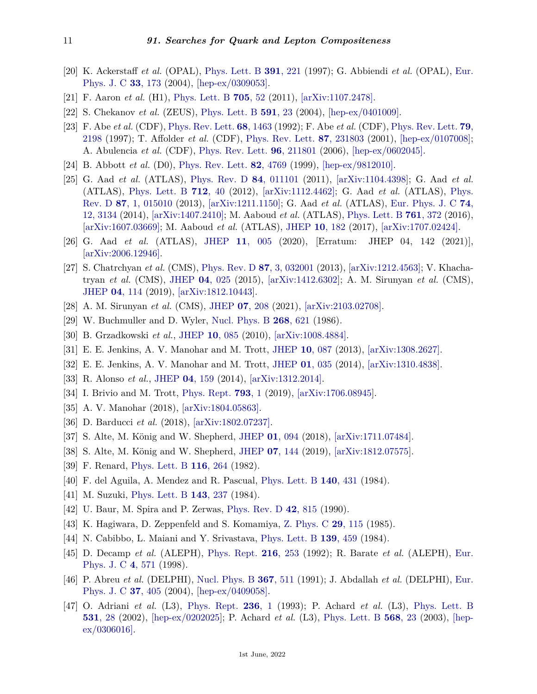- <span id="page-10-0"></span>[20] K. Ackerstaff *et al.* (OPAL), [Phys. Lett. B](http://doi.org/10.1016/S0370-2693(97)81627-9) **391**[, 221](http://doi.org/10.1016/S0370-2693(97)81627-9) (1997); G. Abbiendi *et al.* (OPAL), [Eur.](http://doi.org/10.1140/epjc/s2004-01595-9) [Phys. J. C](http://doi.org/10.1140/epjc/s2004-01595-9) **33**[, 173](http://doi.org/10.1140/epjc/s2004-01595-9) (2004), [\[hep-ex/0309053\].](https://arxiv.org/abs/hep-ex/0309053)
- <span id="page-10-1"></span>[21] F. Aaron *et al.* (H1), [Phys. Lett. B](http://doi.org/10.1016/j.physletb.2011.09.109) **[705](http://doi.org/10.1016/j.physletb.2011.09.109)**, 52 (2011), [\[arXiv:1107.2478\].](https://arxiv.org/abs/1107.2478)
- <span id="page-10-2"></span>[22] S. Chekanov *et al.* (ZEUS), [Phys. Lett. B](http://doi.org/10.1016/j.physletb.2004.03.081) **[591](http://doi.org/10.1016/j.physletb.2004.03.081)**, 23 (2004), [\[hep-ex/0401009\].](https://arxiv.org/abs/hep-ex/0401009)
- <span id="page-10-3"></span>[23] F. Abe *et al.* (CDF), [Phys. Rev. Lett.](http://doi.org/10.1103/PhysRevLett.68.1463) **68**[, 1463](http://doi.org/10.1103/PhysRevLett.68.1463) (1992); F. Abe *et al.* (CDF), [Phys. Rev. Lett.](http://doi.org/10.1103/PhysRevLett.79.2198) **[79](http://doi.org/10.1103/PhysRevLett.79.2198)**, [2198](http://doi.org/10.1103/PhysRevLett.79.2198) (1997); T. Affolder *et al.* (CDF), [Phys. Rev. Lett.](http://doi.org/10.1103/PhysRevLett.87.231803) **87**[, 231803](http://doi.org/10.1103/PhysRevLett.87.231803) (2001), [\[hep-ex/0107008\];](https://arxiv.org/abs/hep-ex/0107008) A. Abulencia *et al.* (CDF), [Phys. Rev. Lett.](http://doi.org/10.1103/PhysRevLett.96.211801) **96**[, 211801](http://doi.org/10.1103/PhysRevLett.96.211801) (2006), [\[hep-ex/0602045\].](https://arxiv.org/abs/hep-ex/0602045)
- <span id="page-10-4"></span>[24] B. Abbott *et al.* (D0), [Phys. Rev. Lett.](http://doi.org/10.1103/PhysRevLett.82.4769) **82**[, 4769](http://doi.org/10.1103/PhysRevLett.82.4769) (1999), [\[hep-ex/9812010\].](https://arxiv.org/abs/hep-ex/9812010)
- <span id="page-10-5"></span>[25] G. Aad *et al.* (ATLAS), [Phys. Rev. D](http://doi.org/10.1103/PhysRevD.84.011101) **84**[, 011101](http://doi.org/10.1103/PhysRevD.84.011101) (2011), [\[arXiv:1104.4398\];](https://arxiv.org/abs/1104.4398) G. Aad *et al.* (ATLAS), [Phys. Lett. B](http://doi.org/10.1016/j.physletb.2012.04.026) **712**[, 40](http://doi.org/10.1016/j.physletb.2012.04.026) (2012), [\[arXiv:1112.4462\];](https://arxiv.org/abs/1112.4462) G. Aad *et al.* (ATLAS), [Phys.](http://doi.org/10.1103/PhysRevD.87.015010) [Rev. D](http://doi.org/10.1103/PhysRevD.87.015010) **87**[, 1, 015010](http://doi.org/10.1103/PhysRevD.87.015010) (2013), [\[arXiv:1211.1150\];](https://arxiv.org/abs/1211.1150) G. Aad *et al.* (ATLAS), [Eur. Phys. J. C](http://doi.org/10.1140/epjc/s10052-014-3134-6) **[74](http://doi.org/10.1140/epjc/s10052-014-3134-6)**, [12, 3134](http://doi.org/10.1140/epjc/s10052-014-3134-6) (2014), [\[arXiv:1407.2410\];](https://arxiv.org/abs/1407.2410) M. Aaboud *et al.* (ATLAS), [Phys. Lett. B](http://doi.org/10.1016/j.physletb.2016.08.055) **761**[, 372](http://doi.org/10.1016/j.physletb.2016.08.055) (2016), [\[arXiv:1607.03669\];](https://arxiv.org/abs/1607.03669) M. Aaboud *et al.* (ATLAS), [JHEP](http://doi.org/10.1007/JHEP10(2017)182) **10**[, 182](http://doi.org/10.1007/JHEP10(2017)182) (2017), [\[arXiv:1707.02424\].](https://arxiv.org/abs/1707.02424)
- <span id="page-10-6"></span>[26] G. Aad *et al.* (ATLAS), [JHEP](http://doi.org/10.1007/JHEP11(2020)005) **11**[, 005](http://doi.org/10.1007/JHEP11(2020)005) (2020), [Erratum: JHEP 04, 142 (2021)], [\[arXiv:2006.12946\].](https://arxiv.org/abs/2006.12946)
- <span id="page-10-7"></span>[27] S. Chatrchyan *et al.* (CMS), [Phys. Rev. D](http://doi.org/10.1103/PhysRevD.87.032001) **87**[, 3, 032001](http://doi.org/10.1103/PhysRevD.87.032001) (2013), [\[arXiv:1212.4563\];](https://arxiv.org/abs/1212.4563) V. Khachatryan *et al.* (CMS), [JHEP](http://doi.org/10.1007/JHEP04(2015)025) **04**[, 025](http://doi.org/10.1007/JHEP04(2015)025) (2015), [\[arXiv:1412.6302\];](https://arxiv.org/abs/1412.6302) A. M. Sirunyan *et al.* (CMS), [JHEP](http://doi.org/10.1007/JHEP04(2019)114) **04**[, 114](http://doi.org/10.1007/JHEP04(2019)114) (2019), [\[arXiv:1812.10443\].](https://arxiv.org/abs/1812.10443)
- <span id="page-10-9"></span><span id="page-10-8"></span>[28] A. M. Sirunyan *et al.* (CMS), [JHEP](http://doi.org/10.1007/JHEP07(2021)208) **07**[, 208](http://doi.org/10.1007/JHEP07(2021)208) (2021), [\[arXiv:2103.02708\].](https://arxiv.org/abs/2103.02708)
- [29] W. Buchmuller and D. Wyler, [Nucl. Phys. B](http://doi.org/10.1016/0550-3213(86)90262-2) **268**[, 621](http://doi.org/10.1016/0550-3213(86)90262-2) (1986).
- <span id="page-10-11"></span><span id="page-10-10"></span>[30] B. Grzadkowski *et al.*, [JHEP](http://doi.org/10.1007/JHEP10(2010)085) **10**[, 085](http://doi.org/10.1007/JHEP10(2010)085) (2010), [\[arXiv:1008.4884\].](https://arxiv.org/abs/1008.4884)
- [31] E. E. Jenkins, A. V. Manohar and M. Trott, [JHEP](http://doi.org/10.1007/JHEP10(2013)087) **10**[, 087](http://doi.org/10.1007/JHEP10(2013)087) (2013), [\[arXiv:1308.2627\].](https://arxiv.org/abs/1308.2627)
- [32] E. E. Jenkins, A. V. Manohar and M. Trott, [JHEP](http://doi.org/10.1007/JHEP01(2014)035) **01**[, 035](http://doi.org/10.1007/JHEP01(2014)035) (2014), [\[arXiv:1310.4838\].](https://arxiv.org/abs/1310.4838)
- <span id="page-10-12"></span>[33] R. Alonso *et al.*, [JHEP](http://doi.org/10.1007/JHEP04(2014)159) **04**[, 159](http://doi.org/10.1007/JHEP04(2014)159) (2014), [\[arXiv:1312.2014\].](https://arxiv.org/abs/1312.2014)
- <span id="page-10-13"></span>[34] I. Brivio and M. Trott, [Phys. Rept.](http://doi.org/10.1016/j.physrep.2018.11.002) **[793](http://doi.org/10.1016/j.physrep.2018.11.002)**, 1 (2019), [\[arXiv:1706.08945\].](https://arxiv.org/abs/1706.08945)
- <span id="page-10-14"></span>[35] A. V. Manohar (2018), [\[arXiv:1804.05863\].](https://arxiv.org/abs/1804.05863)
- <span id="page-10-15"></span>[36] D. Barducci *et al.* (2018), [\[arXiv:1802.07237\].](https://arxiv.org/abs/1802.07237)
- [37] S. Alte, M. König and W. Shepherd, [JHEP](http://doi.org/10.1007/JHEP01(2018)094) **01**[, 094](http://doi.org/10.1007/JHEP01(2018)094) (2018), [\[arXiv:1711.07484\].](https://arxiv.org/abs/1711.07484)
- <span id="page-10-16"></span>[38] S. Alte, M. König and W. Shepherd, [JHEP](http://doi.org/10.1007/JHEP07(2019)144) **07**[, 144](http://doi.org/10.1007/JHEP07(2019)144) (2019), [\[arXiv:1812.07575\].](https://arxiv.org/abs/1812.07575)
- <span id="page-10-17"></span>[39] F. Renard, [Phys. Lett. B](http://doi.org/10.1016/0370-2693(82)90339-2) **116**[, 264](http://doi.org/10.1016/0370-2693(82)90339-2) (1982).
- [40] F. del Aguila, A. Mendez and R. Pascual, [Phys. Lett. B](http://doi.org/10.1016/0370-2693(84)90786-X) **140**[, 431](http://doi.org/10.1016/0370-2693(84)90786-X) (1984).
- <span id="page-10-18"></span>[41] M. Suzuki, [Phys. Lett. B](http://doi.org/10.1016/0370-2693(84)90842-6) **143**[, 237](http://doi.org/10.1016/0370-2693(84)90842-6) (1984).
- <span id="page-10-19"></span>[42] U. Baur, M. Spira and P. Zerwas, [Phys. Rev. D](http://doi.org/10.1103/PhysRevD.42.815) **42**[, 815](http://doi.org/10.1103/PhysRevD.42.815) (1990).
- <span id="page-10-20"></span>[43] K. Hagiwara, D. Zeppenfeld and S. Komamiya, [Z. Phys. C](http://doi.org/10.1007/BF01571391) **29**[, 115](http://doi.org/10.1007/BF01571391) (1985).
- <span id="page-10-21"></span>[44] N. Cabibbo, L. Maiani and Y. Srivastava, [Phys. Lett. B](http://doi.org/10.1016/0370-2693(84)91850-1) **139**[, 459](http://doi.org/10.1016/0370-2693(84)91850-1) (1984).
- <span id="page-10-22"></span>[45] D. Decamp *et al.* (ALEPH), [Phys. Rept.](http://doi.org/10.1016/0370-1573(92)90177-2) **216**[, 253](http://doi.org/10.1016/0370-1573(92)90177-2) (1992); R. Barate *et al.* (ALEPH), [Eur.](http://doi.org/10.1007/s100520050229) [Phys. J. C](http://doi.org/10.1007/s100520050229) **4**[, 571](http://doi.org/10.1007/s100520050229) (1998).
- [46] P. Abreu *et al.* (DELPHI), [Nucl. Phys. B](http://doi.org/10.1016/0550-3213(91)90007-K) **367**[, 511](http://doi.org/10.1016/0550-3213(91)90007-K) (1991); J. Abdallah *et al.* (DELPHI), [Eur.](http://doi.org/10.1140/epjc/s2004-01990-2) [Phys. J. C](http://doi.org/10.1140/epjc/s2004-01990-2) **37**[, 405](http://doi.org/10.1140/epjc/s2004-01990-2) (2004), [\[hep-ex/0409058\].](https://arxiv.org/abs/hep-ex/0409058)
- [47] O. Adriani *et al.* (L3), [Phys. Rept.](http://doi.org/10.1016/0370-1573(93)90027-B) **[236](http://doi.org/10.1016/0370-1573(93)90027-B)**, 1 (1993); P. Achard *et al.* (L3), [Phys. Lett. B](http://doi.org/10.1016/S0370-2693(02)01339-4) **[531](http://doi.org/10.1016/S0370-2693(02)01339-4)**, 28 (2002), [\[hep-ex/0202025\];](https://arxiv.org/abs/hep-ex/0202025) P. Achard *et al.* (L3), [Phys. Lett. B](http://doi.org/10.1016/j.physletb.2003.05.004) **[568](http://doi.org/10.1016/j.physletb.2003.05.004)**, 23 (2003), [\[hep](https://arxiv.org/abs/hep-ex/0306016)[ex/0306016\].](https://arxiv.org/abs/hep-ex/0306016)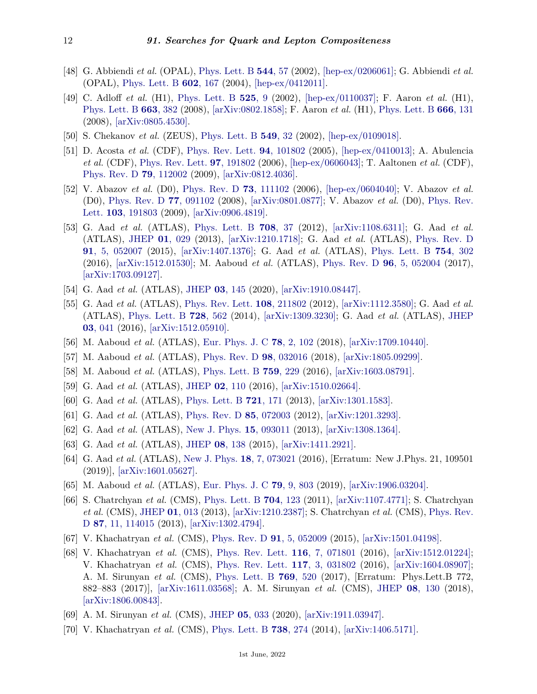- <span id="page-11-0"></span>[48] G. Abbiendi *et al.* (OPAL), [Phys. Lett. B](http://doi.org/10.1016/S0370-2693(02)02343-2) **[544](http://doi.org/10.1016/S0370-2693(02)02343-2)**, 57 (2002), [\[hep-ex/0206061\];](https://arxiv.org/abs/hep-ex/0206061) G. Abbiendi *et al.* (OPAL), [Phys. Lett. B](http://doi.org/10.1016/j.physletb.2004.09.059) **602**[, 167](http://doi.org/10.1016/j.physletb.2004.09.059) (2004), [\[hep-ex/0412011\].](https://arxiv.org/abs/hep-ex/0412011)
- <span id="page-11-1"></span>[49] C. Adloff *et al.* (H1), [Phys. Lett. B](http://doi.org/10.1016/S0370-2693(01)01410-1) **[525](http://doi.org/10.1016/S0370-2693(01)01410-1)**, 9 (2002), [\[hep-ex/0110037\];](https://arxiv.org/abs/hep-ex/0110037) F. Aaron *et al.* (H1), [Phys. Lett. B](http://doi.org/10.1016/j.physletb.2008.04.020) **663**[, 382](http://doi.org/10.1016/j.physletb.2008.04.020) (2008), [\[arXiv:0802.1858\];](https://arxiv.org/abs/0802.1858) F. Aaron *et al.* (H1), [Phys. Lett. B](http://doi.org/10.1016/j.physletb.2008.07.014) **666**[, 131](http://doi.org/10.1016/j.physletb.2008.07.014) (2008), [\[arXiv:0805.4530\].](https://arxiv.org/abs/0805.4530)
- <span id="page-11-2"></span>[50] S. Chekanov *et al.* (ZEUS), [Phys. Lett. B](http://doi.org/10.1016/S0370-2693(02)02863-0) **[549](http://doi.org/10.1016/S0370-2693(02)02863-0)**, 32 (2002), [\[hep-ex/0109018\].](https://arxiv.org/abs/hep-ex/0109018)
- <span id="page-11-3"></span>[51] D. Acosta *et al.* (CDF), [Phys. Rev. Lett.](http://doi.org/10.1103/PhysRevLett.94.101802) **94**[, 101802](http://doi.org/10.1103/PhysRevLett.94.101802) (2005), [\[hep-ex/0410013\];](https://arxiv.org/abs/hep-ex/0410013) A. Abulencia *et al.* (CDF), [Phys. Rev. Lett.](http://doi.org/10.1103/PhysRevLett.97.191802) **97**[, 191802](http://doi.org/10.1103/PhysRevLett.97.191802) (2006), [\[hep-ex/0606043\];](https://arxiv.org/abs/hep-ex/0606043) T. Aaltonen *et al.* (CDF), [Phys. Rev. D](http://doi.org/10.1103/PhysRevD.79.112002) **79**[, 112002](http://doi.org/10.1103/PhysRevD.79.112002) (2009), [\[arXiv:0812.4036\].](https://arxiv.org/abs/0812.4036)
- <span id="page-11-4"></span>[52] V. Abazov *et al.* (D0), [Phys. Rev. D](http://doi.org/10.1103/PhysRevD.73.111102) **73**[, 111102](http://doi.org/10.1103/PhysRevD.73.111102) (2006), [\[hep-ex/0604040\];](https://arxiv.org/abs/hep-ex/0604040) V. Abazov *et al.* (D0), [Phys. Rev. D](http://doi.org/10.1103/PhysRevD.77.091102) **77**[, 091102](http://doi.org/10.1103/PhysRevD.77.091102) (2008), [\[arXiv:0801.0877\];](https://arxiv.org/abs/0801.0877) V. Abazov *et al.* (D0), [Phys. Rev.](http://doi.org/10.1103/PhysRevLett.103.191803) [Lett.](http://doi.org/10.1103/PhysRevLett.103.191803) **103**[, 191803](http://doi.org/10.1103/PhysRevLett.103.191803) (2009), [\[arXiv:0906.4819\].](https://arxiv.org/abs/0906.4819)
- <span id="page-11-5"></span>[53] G. Aad *et al.* (ATLAS), [Phys. Lett. B](http://doi.org/10.1016/j.physletb.2012.01.035) **708**[, 37](http://doi.org/10.1016/j.physletb.2012.01.035) (2012), [\[arXiv:1108.6311\];](https://arxiv.org/abs/1108.6311) G. Aad *et al.* (ATLAS), [JHEP](http://doi.org/10.1007/JHEP01(2013)029) **01**[, 029](http://doi.org/10.1007/JHEP01(2013)029) (2013), [\[arXiv:1210.1718\];](https://arxiv.org/abs/1210.1718) G. Aad *et al.* (ATLAS), [Phys. Rev. D](http://doi.org/10.1103/PhysRevD.91.052007) **91**[, 5, 052007](http://doi.org/10.1103/PhysRevD.91.052007) (2015), [\[arXiv:1407.1376\];](https://arxiv.org/abs/1407.1376) G. Aad *et al.* (ATLAS), [Phys. Lett. B](http://doi.org/10.1016/j.physletb.2016.01.032) **754**[, 302](http://doi.org/10.1016/j.physletb.2016.01.032) (2016), [\[arXiv:1512.01530\];](https://arxiv.org/abs/1512.01530) M. Aaboud *et al.* (ATLAS), [Phys. Rev. D](http://doi.org/10.1103/PhysRevD.96.052004) **96**[, 5, 052004](http://doi.org/10.1103/PhysRevD.96.052004) (2017), [\[arXiv:1703.09127\].](https://arxiv.org/abs/1703.09127)
- <span id="page-11-6"></span>[54] G. Aad *et al.* (ATLAS), [JHEP](http://doi.org/10.1007/JHEP03(2020)145) **03**[, 145](http://doi.org/10.1007/JHEP03(2020)145) (2020), [\[arXiv:1910.08447\].](https://arxiv.org/abs/1910.08447)
- <span id="page-11-9"></span>[55] G. Aad *et al.* (ATLAS), [Phys. Rev. Lett.](http://doi.org/10.1103/PhysRevLett.108.211802) **108**[, 211802](http://doi.org/10.1103/PhysRevLett.108.211802) (2012), [\[arXiv:1112.3580\];](https://arxiv.org/abs/1112.3580) G. Aad *et al.* (ATLAS), [Phys. Lett. B](http://doi.org/10.1016/j.physletb.2013.12.029) **728**[, 562](http://doi.org/10.1016/j.physletb.2013.12.029) (2014), [\[arXiv:1309.3230\];](https://arxiv.org/abs/1309.3230) G. Aad *et al.* (ATLAS), [JHEP](http://doi.org/10.1007/JHEP03(2016)041) **03**[, 041](http://doi.org/10.1007/JHEP03(2016)041) (2016), [\[arXiv:1512.05910\].](https://arxiv.org/abs/1512.05910)
- <span id="page-11-10"></span>[56] M. Aaboud *et al.* (ATLAS), [Eur. Phys. J. C](http://doi.org/10.1140/epjc/s10052-018-5553-2) **78**[, 2, 102](http://doi.org/10.1140/epjc/s10052-018-5553-2) (2018), [\[arXiv:1709.10440\].](https://arxiv.org/abs/1709.10440)
- <span id="page-11-12"></span>[57] M. Aaboud *et al.* (ATLAS), [Phys. Rev. D](http://doi.org/10.1103/PhysRevD.98.032016) **98**[, 032016](http://doi.org/10.1103/PhysRevD.98.032016) (2018), [\[arXiv:1805.09299\].](https://arxiv.org/abs/1805.09299)
- <span id="page-11-13"></span>[58] M. Aaboud *et al.* (ATLAS), [Phys. Lett. B](http://doi.org/10.1016/j.physletb.2016.05.064) **759**[, 229](http://doi.org/10.1016/j.physletb.2016.05.064) (2016), [\[arXiv:1603.08791\].](https://arxiv.org/abs/1603.08791)
- <span id="page-11-15"></span>[59] G. Aad *et al.* (ATLAS), [JHEP](http://doi.org/10.1007/JHEP02(2016)110) **02**[, 110](http://doi.org/10.1007/JHEP02(2016)110) (2016), [\[arXiv:1510.02664\].](https://arxiv.org/abs/1510.02664)
- [60] G. Aad *et al.* (ATLAS), [Phys. Lett. B](http://doi.org/10.1016/j.physletb.2013.03.016) **721**[, 171](http://doi.org/10.1016/j.physletb.2013.03.016) (2013), [\[arXiv:1301.1583\].](https://arxiv.org/abs/1301.1583)
- <span id="page-11-16"></span>[61] G. Aad *et al.* (ATLAS), [Phys. Rev. D](http://doi.org/10.1103/PhysRevD.85.072003) **85**[, 072003](http://doi.org/10.1103/PhysRevD.85.072003) (2012), [\[arXiv:1201.3293\].](https://arxiv.org/abs/1201.3293)
- <span id="page-11-18"></span>[62] G. Aad *et al.* (ATLAS), [New J. Phys.](http://doi.org/10.1088/1367-2630/15/9/093011) **15**[, 093011](http://doi.org/10.1088/1367-2630/15/9/093011) (2013), [\[arXiv:1308.1364\].](https://arxiv.org/abs/1308.1364)
- <span id="page-11-19"></span>[63] G. Aad *et al.* (ATLAS), [JHEP](http://doi.org/10.1007/JHEP08(2015)138) **08**[, 138](http://doi.org/10.1007/JHEP08(2015)138) (2015), [\[arXiv:1411.2921\].](https://arxiv.org/abs/1411.2921)
- <span id="page-11-20"></span>[64] G. Aad *et al.* (ATLAS), [New J. Phys.](http://doi.org/10.1088/1367-2630/18/7/073021) **18**[, 7, 073021](http://doi.org/10.1088/1367-2630/18/7/073021) (2016), [Erratum: New J.Phys. 21, 109501 (2019)], [\[arXiv:1601.05627\].](https://arxiv.org/abs/1601.05627)
- <span id="page-11-17"></span>[65] M. Aaboud *et al.* (ATLAS), [Eur. Phys. J. C](http://doi.org/10.1140/epjc/s10052-019-7295-1) **79**[, 9, 803](http://doi.org/10.1140/epjc/s10052-019-7295-1) (2019), [\[arXiv:1906.03204\].](https://arxiv.org/abs/1906.03204)
- <span id="page-11-7"></span>[66] S. Chatrchyan *et al.* (CMS), [Phys. Lett. B](http://doi.org/10.1016/j.physletb.2011.09.015) **704**[, 123](http://doi.org/10.1016/j.physletb.2011.09.015) (2011), [\[arXiv:1107.4771\];](https://arxiv.org/abs/1107.4771) S. Chatrchyan *et al.* (CMS), [JHEP](http://doi.org/10.1007/JHEP01(2013)013) **01**[, 013](http://doi.org/10.1007/JHEP01(2013)013) (2013), [\[arXiv:1210.2387\];](https://arxiv.org/abs/1210.2387) S. Chatrchyan *et al.* (CMS), [Phys. Rev.](http://doi.org/10.1103/PhysRevD.87.114015) [D](http://doi.org/10.1103/PhysRevD.87.114015) **87**[, 11, 114015](http://doi.org/10.1103/PhysRevD.87.114015) (2013), [\[arXiv:1302.4794\].](https://arxiv.org/abs/1302.4794)
- <span id="page-11-14"></span>[67] V. Khachatryan *et al.* (CMS), [Phys. Rev. D](http://doi.org/10.1103/PhysRevD.91.052009) **91**[, 5, 052009](http://doi.org/10.1103/PhysRevD.91.052009) (2015), [\[arXiv:1501.04198\].](https://arxiv.org/abs/1501.04198)
- [68] V. Khachatryan *et al.* (CMS), [Phys. Rev. Lett.](http://doi.org/10.1103/PhysRevLett.116.071801) **116**[, 7, 071801](http://doi.org/10.1103/PhysRevLett.116.071801) (2016), [\[arXiv:1512.01224\];](https://arxiv.org/abs/1512.01224) V. Khachatryan *et al.* (CMS), [Phys. Rev. Lett.](http://doi.org/10.1103/PhysRevLett.117.031802) **117**[, 3, 031802](http://doi.org/10.1103/PhysRevLett.117.031802) (2016), [\[arXiv:1604.08907\];](https://arxiv.org/abs/1604.08907) A. M. Sirunyan *et al.* (CMS), [Phys. Lett. B](http://doi.org/10.1016/j.physletb.2017.02.012) **769**[, 520](http://doi.org/10.1016/j.physletb.2017.02.012) (2017), [Erratum: Phys.Lett.B 772, 882–883 (2017)], [\[arXiv:1611.03568\];](https://arxiv.org/abs/1611.03568) A. M. Sirunyan *et al.* (CMS), [JHEP](http://doi.org/10.1007/JHEP08(2018)130) **08**[, 130](http://doi.org/10.1007/JHEP08(2018)130) (2018), [\[arXiv:1806.00843\].](https://arxiv.org/abs/1806.00843)
- <span id="page-11-8"></span>[69] A. M. Sirunyan *et al.* (CMS), [JHEP](http://doi.org/10.1007/JHEP05(2020)033) **05**[, 033](http://doi.org/10.1007/JHEP05(2020)033) (2020), [\[arXiv:1911.03947\].](https://arxiv.org/abs/1911.03947)
- <span id="page-11-11"></span>[70] V. Khachatryan *et al.* (CMS), [Phys. Lett. B](http://doi.org/10.1016/j.physletb.2014.09.048) **738**[, 274](http://doi.org/10.1016/j.physletb.2014.09.048) (2014), [\[arXiv:1406.5171\].](https://arxiv.org/abs/1406.5171)